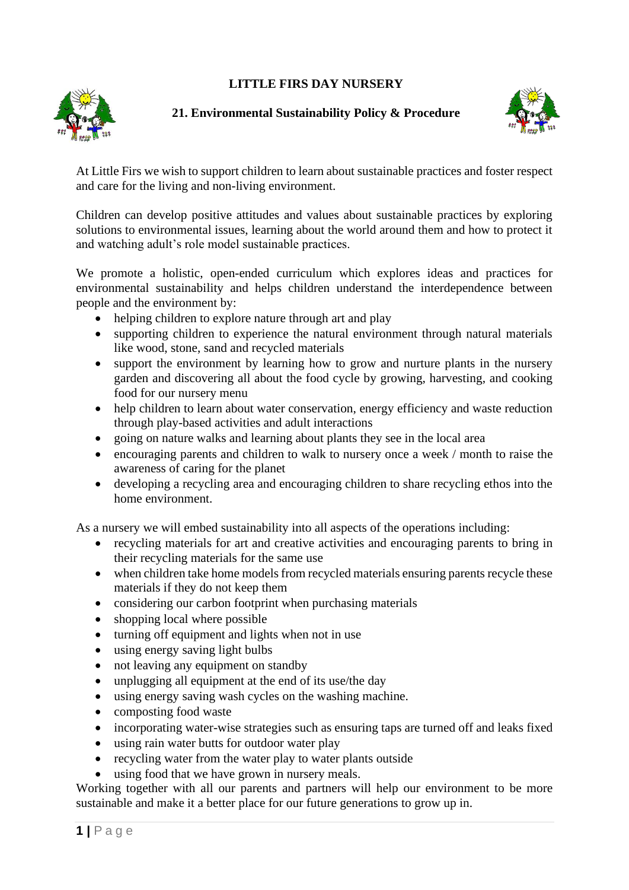## **LITTLE FIRS DAY NURSERY**



## **21. Environmental Sustainability Policy & Procedure**



At Little Firs we wish to support children to learn about sustainable practices and foster respect and care for the living and non-living environment.

Children can develop positive attitudes and values about sustainable practices by exploring solutions to environmental issues, learning about the world around them and how to protect it and watching adult's role model sustainable practices.

We promote a holistic, open-ended curriculum which explores ideas and practices for environmental sustainability and helps children understand the interdependence between people and the environment by:

- helping children to explore nature through art and play
- supporting children to experience the natural environment through natural materials like wood, stone, sand and recycled materials
- support the environment by learning how to grow and nurture plants in the nursery garden and discovering all about the food cycle by growing, harvesting, and cooking food for our nursery menu
- help children to learn about water conservation, energy efficiency and waste reduction through play-based activities and adult interactions
- going on nature walks and learning about plants they see in the local area
- encouraging parents and children to walk to nursery once a week / month to raise the awareness of caring for the planet
- developing a recycling area and encouraging children to share recycling ethos into the home environment.

As a nursery we will embed sustainability into all aspects of the operations including:

- recycling materials for art and creative activities and encouraging parents to bring in their recycling materials for the same use
- when children take home models from recycled materials ensuring parents recycle these materials if they do not keep them
- considering our carbon footprint when purchasing materials
- shopping local where possible
- turning off equipment and lights when not in use
- using energy saving light bulbs
- not leaving any equipment on standby
- unplugging all equipment at the end of its use/the day
- using energy saving wash cycles on the washing machine.
- composting food waste
- incorporating water-wise strategies such as ensuring taps are turned off and leaks fixed
- using rain water butts for outdoor water play
- recycling water from the water play to water plants outside
- using food that we have grown in nursery meals.

Working together with all our parents and partners will help our environment to be more sustainable and make it a better place for our future generations to grow up in.